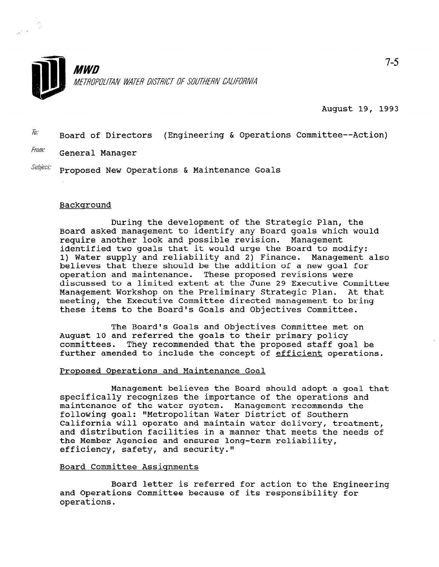

August 19, 1993

 $\tilde{h}$ . Board of Directors (Engineering & Operations Committee--Action)

Fram: General Manager

 $Subject$ : Proposed New Operations & Maintenance Goals

## Background

During the development of the Strategic Plan, the Board asked management to identify any Board goals which would require another look and possible revision. Management identified two goals that it would urge the Board to modify: 1) Water supply and reliability and 2) Finance. Management also believes that there should be the addition of a new goal for operation and maintenance. These proposed revisions were discussed to a limited extent at the June 29 Executive Committee Management Workshop on the Preliminary Strategic Plan. At that meeting, the Executive Committee directed management to bring these items to the Board's Goals and Objectives Committee.

The Board's Goals and Objectives Committee met on August 10 and referred the goals to their primary policy committees. They recommended that the proposed staff goal be further amended to include the concept of efficient operations.

## Proposed Operations and Maintenance Goal

Management believes the Board should adopt a goal that specifically recognizes the importance of the operations and maintenance of the water system. Management recommends the following goal: "Metropolitan Water District of Southern California will operate and maintain water delivery, treatment, and distribution facilities in a manner that meets the needs of the Member Agencies and ensures long-term reliability, efficiency, safety, and security."

## Board Committee Assiqnments

Board letter is referred for action to the Engineering and Operations Committee because of its responsibility for operations.